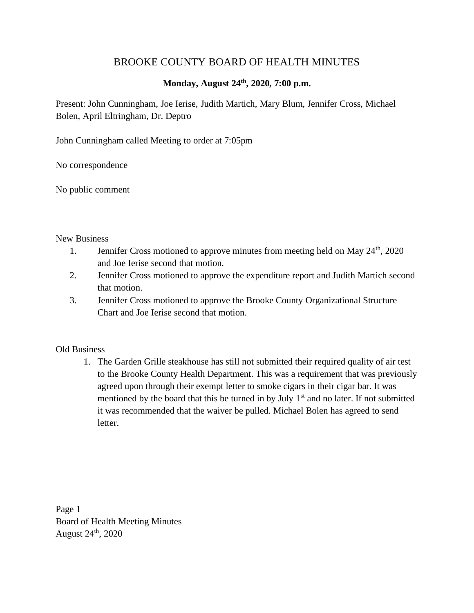## BROOKE COUNTY BOARD OF HEALTH MINUTES

## **Monday, August 24th , 2020, 7:00 p.m.**

Present: John Cunningham, Joe Ierise, Judith Martich, Mary Blum, Jennifer Cross, Michael Bolen, April Eltringham, Dr. Deptro

John Cunningham called Meeting to order at 7:05pm

No correspondence

No public comment

## New Business

- 1. Jennifer Cross motioned to approve minutes from meeting held on May 24<sup>th</sup>, 2020 and Joe Ierise second that motion.
- 2. Jennifer Cross motioned to approve the expenditure report and Judith Martich second that motion.
- 3. Jennifer Cross motioned to approve the Brooke County Organizational Structure Chart and Joe Ierise second that motion.

## Old Business

1. The Garden Grille steakhouse has still not submitted their required quality of air test to the Brooke County Health Department. This was a requirement that was previously agreed upon through their exempt letter to smoke cigars in their cigar bar. It was mentioned by the board that this be turned in by July  $1<sup>st</sup>$  and no later. If not submitted it was recommended that the waiver be pulled. Michael Bolen has agreed to send letter.

Page 1 Board of Health Meeting Minutes August 24th, 2020